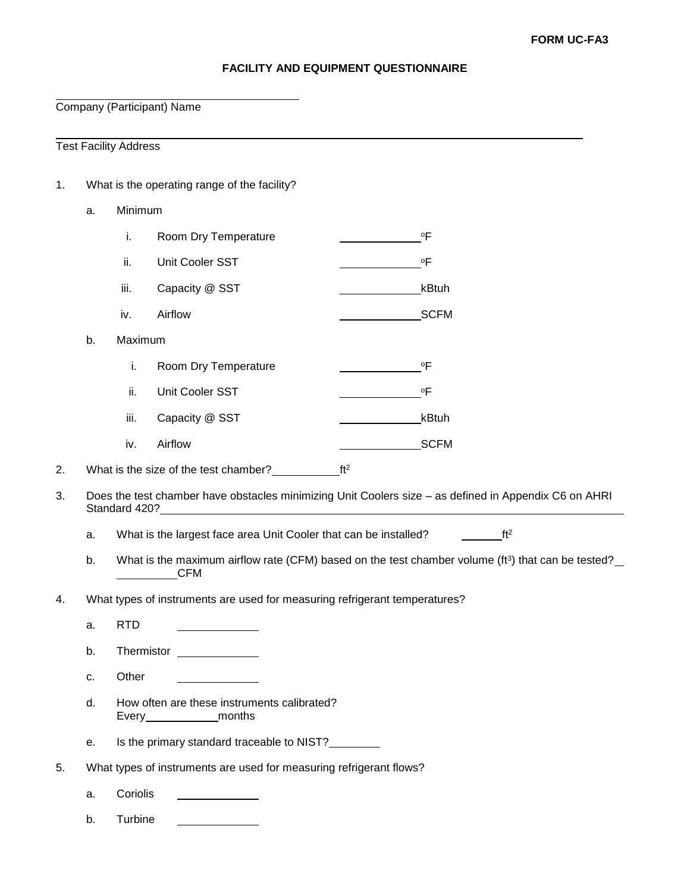## **FACILITY AND EQUIPMENT QUESTIONNAIRE**

Company (Participant) Name

Test Facility Address

- 1. What is the operating range of the facility?
	- a. Minimum

|    | Ĺ.      | Room Dry Temperature | ٥F          |
|----|---------|----------------------|-------------|
|    | ii.     | Unit Cooler SST      | ٥F          |
|    | Ш.      | Capacity @ SST       | kBtuh       |
|    | iv.     | Airflow              | <b>SCFM</b> |
| b. | Maximum |                      |             |

|      | Room Dry Temperature | ٥F          |
|------|----------------------|-------------|
| ii.  | Unit Cooler SST      | ٥F          |
| iii. | Capacity @ SST       | kBtuh       |
| iv.  | Airflow              | <b>SCFM</b> |

<sup>2.</sup> What is the size of the test chamber? $f_1$  ft<sup>2</sup>

- 3. Does the test chamber have obstacles minimizing Unit Coolers size as defined in Appendix C6 on AHRI Standard 420?
	- a. What is the largest face area Unit Cooler that can be installed?  $f_1^2$
	- b. What is the maximum airflow rate (CFM) based on the test chamber volume (ft<sup>3</sup>) that can be tested? **CFM**
- 4. What types of instruments are used for measuring refrigerant temperatures?
	- a. RTD
	- b. Thermistor
	- c. Other
	- d. How often are these instruments calibrated? Every\_\_\_\_\_\_\_\_\_\_\_\_\_\_\_\_months
	- e. Is the primary standard traceable to NIST?
- 5. What types of instruments are used for measuring refrigerant flows?
	- a. Coriolis
	- b. Turbine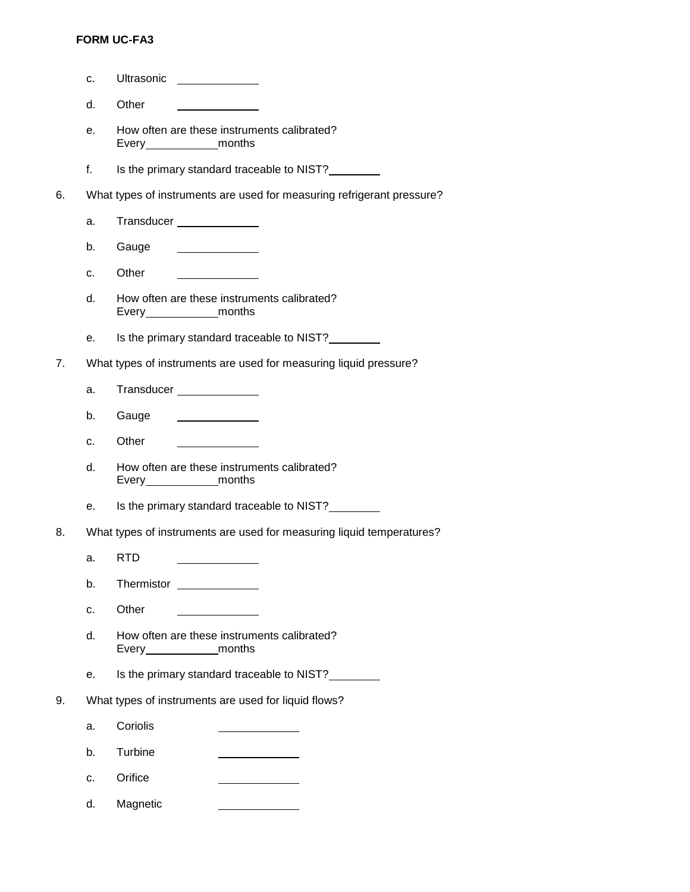## **FORM UC-FA3**

- c. Ultrasonic
	- d. Other
	- e. How often are these instruments calibrated? Every\_\_\_\_\_\_\_\_\_\_\_\_\_\_\_\_months
	- f. Is the primary standard traceable to NIST?
- 6. What types of instruments are used for measuring refrigerant pressure?
	- a. Transducer \_\_\_\_\_\_\_\_\_\_\_\_\_\_
	- b. Gauge  $\begin{aligned} \mathcal{L}_{\text{max}}(\mathcal{L}_{\text{max}}) = \mathcal{L}_{\text{max}}(\mathcal{L}_{\text{max}}) \end{aligned}$
	- c. Other
	- d. How often are these instruments calibrated? Every\_\_\_\_\_\_\_\_\_\_\_\_\_\_\_months
	- e. Is the primary standard traceable to NIST?
- 7. What types of instruments are used for measuring liquid pressure?
	- a. Transducer \_\_\_\_\_\_\_\_\_\_\_\_\_\_
	- b. Gauge  $\begin{array}{c} \begin{array}{c} \begin{array}{c} \begin{array}{c} \end{array} \\ \end{array} \end{array} \end{array} \end{array} \end{array} \end{array} \begin{array}{c} \begin{array}{c} \begin{array}{c} \end{array} \\ \end{array} \end{array} \begin{array}{c} \begin{array}{c} \end{array} \end{array} \end{array} \end{array} \begin{array}{c} \begin{array}{c} \begin{array}{c} \end{array} \\ \end{array} \end{array} \end{array} \begin{array}{c} \begin{array}{c} \begin{array}{c} \end{array} \end{array} \end{array} \begin{array}{c}$
	- c. Other
	- d. How often are these instruments calibrated? Every\_\_\_\_\_\_\_\_\_\_\_\_\_\_\_months
	- e. Is the primary standard traceable to NIST?
- 8. What types of instruments are used for measuring liquid temperatures?
	- a. RTD
	- b. Thermistor \_\_\_\_\_\_\_\_\_\_\_\_\_\_
	- c. Other
	- d. How often are these instruments calibrated? Every\_\_\_\_\_\_\_\_\_\_\_\_\_\_\_\_months
	- e. Is the primary standard traceable to NIST?
- 9. What types of instruments are used for liquid flows?
	- a. Coriolis
	- b. Turbine
	- c. Orifice
	- d. Magnetic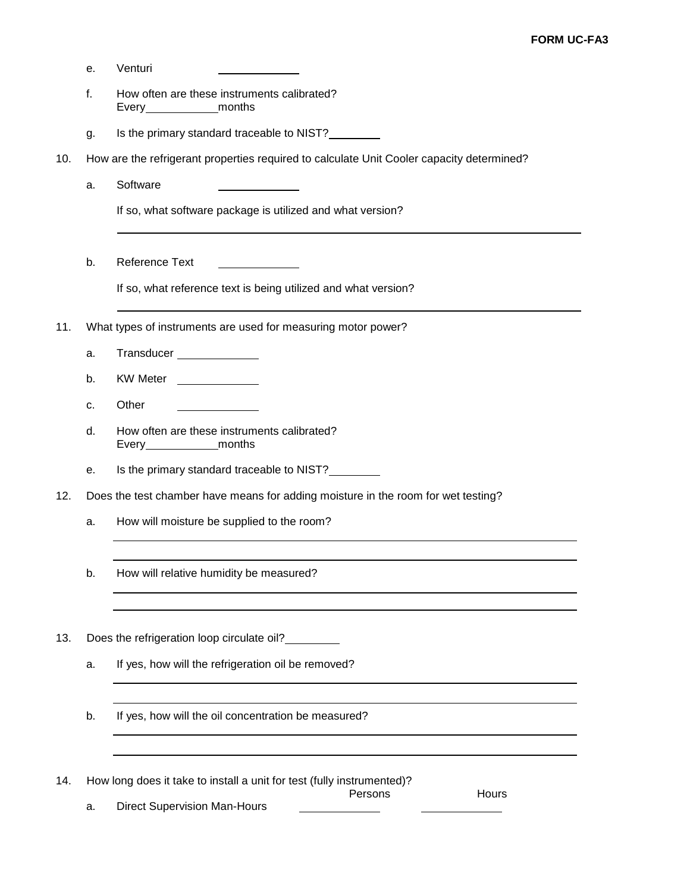- e. Venturi
- f. How often are these instruments calibrated? Every\_\_\_\_\_\_\_\_\_\_\_\_ months
- g. Is the primary standard traceable to NIST?
- 10. How are the refrigerant properties required to calculate Unit Cooler capacity determined?
	- a. Software

If so, what software package is utilized and what version?

b. Reference Text

If so, what reference text is being utilized and what version?

- 11. What types of instruments are used for measuring motor power?
	- a. Transducer
	- b. KW Meter
	- c. Other
	- d. How often are these instruments calibrated? Every months
	- e. Is the primary standard traceable to NIST?
- 12. Does the test chamber have means for adding moisture in the room for wet testing?
	- a. How will moisture be supplied to the room?
	- b. How will relative humidity be measured?
- 13. Does the refrigeration loop circulate oil?
	- a. If yes, how will the refrigeration oil be removed?
	- b. If yes, how will the oil concentration be measured?

14. How long does it take to install a unit for test (fully instrumented)?

a. Direct Supervision Man-Hours

Persons Hours